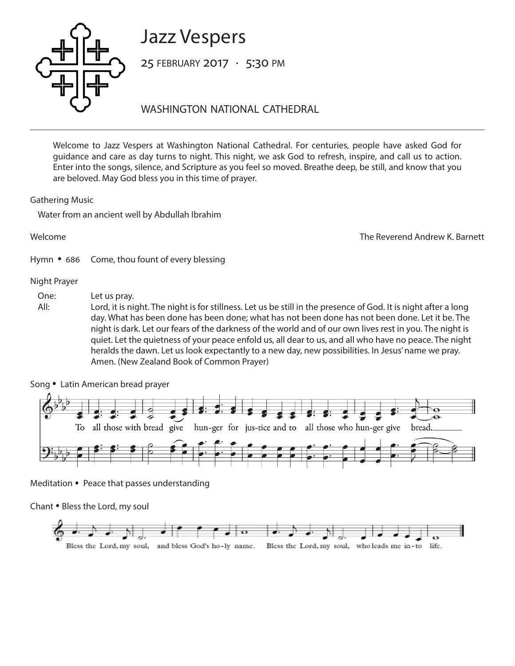# Jazz Vespers



25 february 2017 • 5:30 pm

washington national cathedral

Welcome to Jazz Vespers at Washington National Cathedral. For centuries, people have asked God for guidance and care as day turns to night. This night, we ask God to refresh, inspire, and call us to action. Enter into the songs, silence, and Scripture as you feel so moved. Breathe deep, be still, and know that you are beloved. May God bless you in this time of prayer.

Gathering Music

Water from an ancient well by Abdullah Ibrahim

Welcome The Reverend Andrew K. Barnett Hymn • 686 Come, thou fount of every blessing

## Night Prayer

One: Let us pray.

All: Lord, it is night. The night is for stillness. Let us be still in the presence of God. It is night after a long day. What has been done has been done; what has not been done has not been done. Let it be. The night is dark. Let our fears of the darkness of the world and of our own lives rest in you. The night is quiet. Let the quietness of your peace enfold us, all dear to us, and all who have no peace. The night heralds the dawn. Let us look expectantly to a new day, new possibilities. In Jesus' name we pray. Amen. (New Zealand Book of Common Prayer)



Song • Latin American bread prayer

Meditation *•* Peace that passes understanding

Chant *•* Bless the Lord, my soul

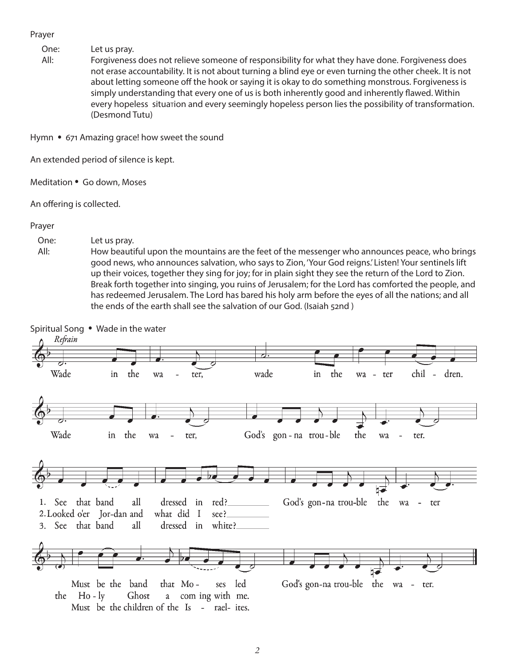Prayer

One: Let us pray.

All: Forgiveness does not relieve someone of responsibility for what they have done. Forgiveness does not erase accountability. It is not about turning a blind eye or even turning the other cheek. It is not about letting someone off the hook or saying it is okay to do something monstrous. Forgiveness is simply understanding that every one of us is both inherently good and inherently flawed. Within every hopeless situation and every seemingly hopeless person lies the possibility of transformation. (Desmond Tutu)

Hymn • 671 Amazing grace! how sweet the sound

An extended period of silence is kept.

Meditation • Go down, Moses

An offering is collected.

## Prayer

## One: Let us pray.

All: How beautiful upon the mountains are the feet of the messenger who announces peace, who brings good news, who announces salvation, who says to Zion, 'Your God reigns.' Listen! Your sentinels lift up their voices, together they sing for joy; for in plain sight they see the return of the Lord to Zion. Break forth together into singing, you ruins of Jerusalem; for the Lord has comforted the people, and has redeemed Jerusalem. The Lord has bared his holy arm before the eyes of all the nations; and all the ends of the earth shall see the salvation of our God. (Isaiah 52nd )

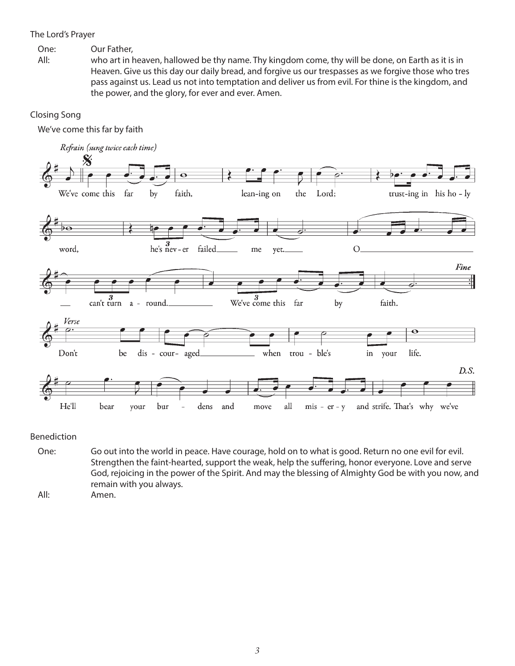## The Lord's Prayer

One: Our Father,

All: who art in heaven, hallowed be thy name. Thy kingdom come, thy will be done, on Earth as it is in Heaven. Give us this day our daily bread, and forgive us our trespasses as we forgive those who tres pass against us. Lead us not into temptation and deliver us from evil. For thine is the kingdom, and the power, and the glory, for ever and ever. Amen.

# Closing Song

We've come this far by faith



Benediction

One: Go out into the world in peace. Have courage, hold on to what is good. Return no one evil for evil. Strengthen the faint-hearted, support the weak, help the suffering, honor everyone. Love and serve God, rejoicing in the power of the Spirit. And may the blessing of Almighty God be with you now, and remain with you always.

All: Amen.